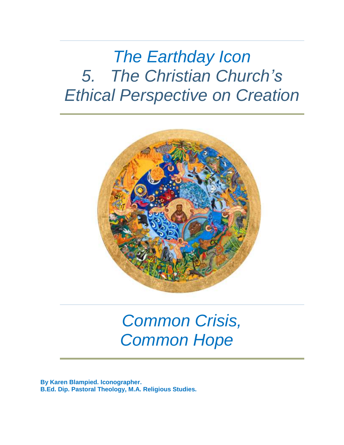# *The Earthday Icon 5. The Christian Church's Ethical Perspective on Creation*



# *Common Crisis, Common Hope*

**By Karen Blampied. Iconographer. B.Ed. Dip. Pastoral Theology, M.A. Religious Studies.**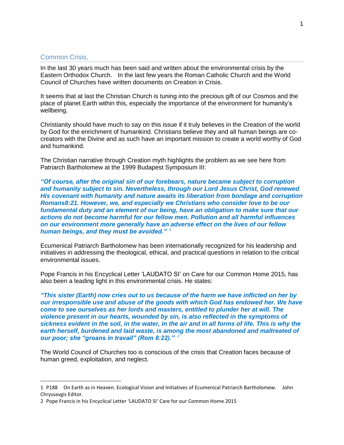#### Common Crisis,

In the last 30 years much has been said and written about the environmental crisis by the Eastern Orthodox Church. In the last few years the Roman Catholic Church and the World Council of Churches have written documents on Creation in Crisis.

It seems that at last the Christian Church is tuning into the precious gift of our Cosmos and the place of planet Earth within this, especially the importance of the environment for humanity's wellbeing.

Christianity should have much to say on this issue if it truly believes in the Creation of the world by God for the enrichment of humankind. Christians believe they and all human beings are cocreators with the Divine and as such have an important mission to create a world worthy of God and humankind.

The Christian narrative through Creation myth highlights the problem as we see here from Patriarch Bartholomew at the 1999 Budapest Symposium III:

*"Of course, after the original sin of our forebears, nature became subject to corruption and humanity subject to sin. Nevertheless, through our Lord Jesus Christ, God renewed His covenant with humanity and nature awaits its liberation from bondage and corruption Romans8:21. However, we, and especially we Christians who consider love to be our fundamental duty and an element of our being, have an obligation to make sure that our actions do not become harmful for our fellow men. Pollution and all harmful influences on our environment more generally have an adverse effect on the lives of our fellow human beings, and they must be avoided." <sup>1</sup>*

Ecumenical Patriarch Bartholomew has been internationally recognized for his leadership and initiatives in addressing the theological, ethical, and practical questions in relation to the critical environmental issues.

Pope Francis in his Encyclical Letter 'LAUDATO SI' on Care for our Common Home 2015, has also been a leading light in this environmental crisis. He states:

*"This sister (Earth) now cries out to us because of the harm we have inflicted on her by our irresponsible use and abuse of the goods with which God has endowed her. We have come to see ourselves as her lords and masters, entitled to plunder her at will. The violence present in our hearts, wounded by sin, is also reflected in the symptoms of sickness evident in the soil, in the water, in the air and in all forms of life. This is why the earth herself, burdened and laid waste, is among the most abandoned and maltreated of our poor; she "groans in travail" (Rom 8:22)." 2*

The World Council of Churches too is conscious of the crisis that Creation faces because of human greed, exploitation, and neglect.

<sup>1</sup> P188 On Earth as in Heaven. Ecological Vision and Initiatives of Ecumenical Patriarch Bartholomew. John Chryssavgis Editor.

<sup>2</sup> Pope Francis in his Encyclical Letter 'LAUDATO SI' Care for our Common Home 2015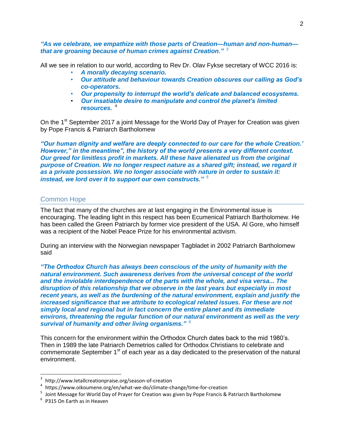*"As we celebrate, we empathize with those parts of Creation—human and non-human that are groaning because of human crimes against Creation." <sup>3</sup>*

All we see in relation to our world, according to Rev Dr. Olav Fykse secretary of WCC 2016 is:

- *A morally decaying scenario.*
- *Our attitude and behaviour towards Creation obscures our calling as God's co-operators.*
- *Our propensity to interrupt the world's delicate and balanced ecosystems.*
- *Our insatiable desire to manipulate and control the planet's limited resources.* <sup>4</sup>

On the 1<sup>st</sup> September 2017 a joint Message for the World Day of Prayer for Creation was given by Pope Francis & Patriarch Bartholomew

*"Our human dignity and welfare are deeply connected to our care for the whole Creation.' However," in the meantime", the history of the world presents a very different context. Our greed for limitless profit in markets. All these have alienated us from the original purpose of Creation. We no longer respect nature as a shared gift; instead, we regard it as a private possession. We no longer associate with nature in order to sustain it: instead, we lord over it to support our own constructs." <sup>5</sup>*

#### Common Hope

The fact that many of the churches are at last engaging in the Environmental issue is encouraging. The leading light in this respect has been Ecumenical Patriarch Bartholomew. He has been called the Green Patriarch by former vice president of the USA. Al Gore, who himself was a recipient of the Nobel Peace Prize for his environmental activism.

During an interview with the Norwegian newspaper Tagbladet in 2002 Patriarch Bartholomew said

*"The Orthodox Church has always been conscious of the unity of humanity with the natural environment. Such awareness derives from the universal concept of the world and the inviolable interdependence of the parts with the whole, and visa versa... The disruption of this relationship that we observe in the last years but especially in most recent years, as well as the burdening of the natural environment, explain and justify the increased significance that we attribute to ecological related issues. For these are not simply local and regional but in fact concern the entire planet and its immediate environs, threatening the regular function of our natural environment as well as the very survival of humanity and other living organisms." <sup>6</sup>*

This concern for the environment within the Orthodox Church dates back to the mid 1980's. Then in 1989 the late Patriarch Demetrios called for Orthodox Christians to celebrate and commemorate September 1<sup>st</sup> of each year as a day dedicated to the preservation of the natural environment.

 $\overline{a}$ 

<sup>3</sup> http://www.letallcreationpraise.org/season-of-creation

<sup>4</sup> https://www.oikoumene.org/en/what-we-do/climate-change/time-for-creation

<sup>&</sup>lt;sup>5</sup> Joint Message for World Day of Prayer for Creation was given by Pope Francis & Patriarch Bartholomew

<sup>6</sup> P315 On Earth as in Heaven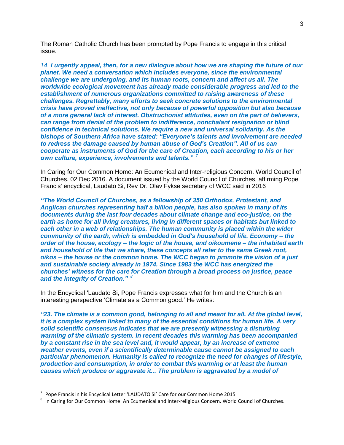The Roman Catholic Church has been prompted by Pope Francis to engage in this critical issue.

*14. I urgently appeal, then, for a new dialogue about how we are shaping the future of our planet. We need a conversation which includes everyone, since the environmental challenge we are undergoing, and its human roots, concern and affect us all. The worldwide ecological movement has already made considerable progress and led to the establishment of numerous organizations committed to raising awareness of these challenges. Regrettably, many efforts to seek concrete solutions to the environmental crisis have proved ineffective, not only because of powerful opposition but also because of a more general lack of interest. Obstructionist attitudes, even on the part of believers, can range from denial of the problem to indifference, nonchalant resignation or blind confidence in technical solutions. We require a new and universal solidarity. As the bishops of Southern Africa have stated: "Everyone's talents and involvement are needed to redress the damage caused by human abuse of God's Creation". All of us can cooperate as instruments of God for the care of Creation, each according to his or her own culture, experience, involvements and talents." <sup>7</sup>*

In Caring for Our Common Home: An Ecumenical and Inter-religious Concern. World Council of Churches. 02 Dec 2016. A document issued by the World Council of Churches, affirming Pope Francis' encyclical, Laudato Si, Rev Dr. Olav Fykse secretary of WCC said in 2016

*"The World Council of Churches, as a fellowship of 350 Orthodox, Protestant, and Anglican churches representing half a billion people, has also spoken in many of its documents during the last four decades about climate change and eco-justice, on the earth as home for all living creatures, living in different spaces or habitats but linked to each other in a web of relationships. The human community is placed within the wider community of the earth, which is embedded in God's household of life. Economy – the order of the house, ecology – the logic of the house, and oikoumene – the inhabited earth and household of life that we share, these concepts all refer to the same Greek root, oikos – the house or the common home. The WCC began to promote the vision of a just and sustainable society already in 1974. Since 1983 the WCC has energized the churches' witness for the care for Creation through a broad process on justice, peace and the integrity of Creation." <sup>8</sup>*

In the Encyclical 'Laudato Si, Pope Francis expresses what for him and the Church is an interesting perspective 'Climate as a Common good.' He writes:

*"23. The climate is a common good, belonging to all and meant for all. At the global level, it is a complex system linked to many of the essential conditions for human life. A very solid scientific consensus indicates that we are presently witnessing a disturbing warming of the climatic system. In recent decades this warming has been accompanied by a constant rise in the sea level and, it would appear, by an increase of extreme weather events, even if a scientifically determinable cause cannot be assigned to each particular phenomenon. Humanity is called to recognize the need for changes of lifestyle, production and consumption, in order to combat this warming or at least the human causes which produce or aggravate it... The problem is aggravated by a model of* 

 $\overline{a}$ 

 $^7$  Pope Francis in his Encyclical Letter 'LAUDATO SI' Care for our Common Home 2015

 $^8$  In Caring for Our Common Home: An Ecumenical and Inter-religious Concern. World Council of Churches.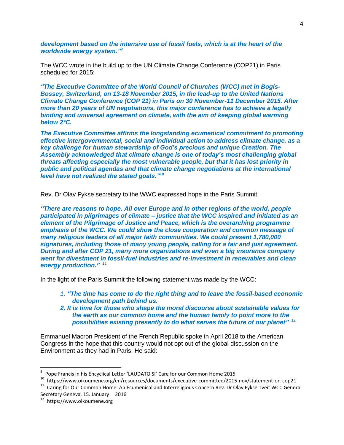development based on the intensive use of fossil fuels, which is at the heart of the worldwide energy system."<sup>9</sup>

The WCC wrote in the build up to the UN Climate Change Conference (COP21) in Paris scheduled for 2015:

*"The Executive Committee of the World Council of Churches (WCC) met in Bogis-Bossey, Switzerland, on 13-18 November 2015, in the lead-up to the United Nations Climate Change Conference (COP 21) in Paris on 30 November-11 December 2015. After more than 20 years of UN negotiations, this major conference has to achieve a legally binding and universal agreement on climate, with the aim of keeping global warming below 2°C.*

*The Executive Committee affirms the longstanding ecumenical commitment to promoting effective intergovernmental, social and individual action to address climate change, as a key challenge for human stewardship of God's precious and unique Creation. The Assembly acknowledged that climate change is one of today's most challenging global threats affecting especially the most vulnerable people, but that it has lost priority in public and political agendas and that climate change negotiations at the international level have not realized the stated goals."<sup>10</sup>*

Rev. Dr Olav Fykse secretary to the WWC expressed hope in the Paris Summit.

*"There are reasons to hope. All over Europe and in other regions of the world, people participated in pilgrimages of climate – justice that the WCC inspired and initiated as an element of the Pilgrimage of Justice and Peace, which is the overarching programme emphasis of the WCC. We could show the close cooperation and common message of many religious leaders of all major faith communities. We could present 1,780,000 signatures, including those of many young people, calling for a fair and just agreement. During and after COP 21, many more organizations and even a big insurance company went for divestment in fossil-fuel industries and re-investment in renewables and clean energy production." 11*

In the light of the Paris Summit the following statement was made by the WCC:

- *1. "The time has come to do the right thing and to leave the fossil-based economic development path behind us.*
- *2. It is time for those who shape the moral discourse about sustainable values for the earth as our common home and the human family to point more to the possibilities existing presently to do what serves the future of our planet"* 12

Emmanuel Macron President of the French Republic spoke in April 2018 to the American Congress in the hope that this country would not opt out of the global discussion on the Environment as they had in Paris. He said:

<sup>&</sup>lt;sup>9</sup> Pope Francis in his Encyclical Letter 'LAUDATO SI' Care for our Common Home 2015

<sup>10</sup> https://www.oikoumene.org/en/resources/documents/executive-committee/2015-nov/statement-on-cop21

<sup>&</sup>lt;sup>11</sup> Caring for Our Common Home: An Ecumenical and Interreligious Concern Rev. Dr Olav Fykse Tveit WCC General Secretary Geneva, 15. January 2016

<sup>12</sup> https://www.oikoumene.org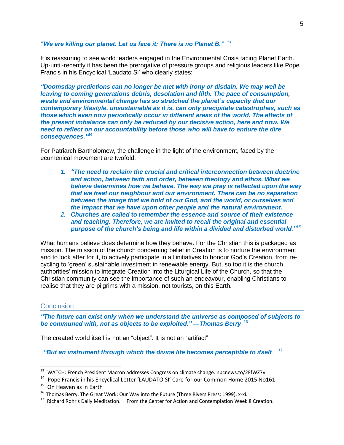#### *"We are killing our planet. Let us face it: There is no Planet B." <sup>13</sup>*

It is reassuring to see world leaders engaged in the Environmental Crisis facing Planet Earth. Up-until-recently it has been the prerogative of pressure groups and religious leaders like Pope Francis in his Encyclical 'Laudato Si' who clearly states:

*"Doomsday predictions can no longer be met with irony or disdain. We may well be leaving to coming generations debris, desolation and filth. The pace of consumption, waste and environmental change has so stretched the planet's capacity that our contemporary lifestyle, unsustainable as it is, can only precipitate catastrophes, such as those which even now periodically occur in different areas of the world. The effects of the present imbalance can only be reduced by our decisive action, here and now. We need to reflect on our accountability before those who will have to endure the dire consequences."<sup>14</sup>*

For Patriarch Bartholomew, the challenge in the light of the environment, faced by the ecumenical movement are twofold:

- *1. "The need to reclaim the crucial and critical interconnection between doctrine and action, between faith and order, between theology and ethos. What we believe determines how we behave. The way we pray is reflected upon the way that we treat our neighbour and our environment. There can be no separation between the image that we hold of our God, and the world, or ourselves and the impact that we have upon other people and the natural environment.*
- *2. Churches are called to remember the essence and source of their existence and teaching. Therefore, we are invited to recall the original and essential purpose of the church's being and life within a divided and disturbed world."<sup>15</sup>*

What humans believe does determine how they behave. For the Christian this is packaged as mission. The mission of the church concerning belief in Creation is to nurture the environment and to look after for it, to actively participate in all initiatives to honour God's Creation, from recycling to 'green' sustainable investment in renewable energy. But, so too it is the church authorities' mission to integrate Creation into the Liturgical Life of the Church, so that the Christian community can see the importance of such an endeavour, enabling Christians to realise that they are pilgrims with a mission, not tourists, on this Earth.

#### **Conclusion**

*"The future can exist only when we understand the universe as composed of subjects to be communed with, not as objects to be exploited." —Thomas Berry* <sup>16</sup>

The created world itself is not an "object". It is not an "artifact"

*"But an instrument through which the divine life becomes perceptible to itself*." <sup>17</sup>

<sup>13</sup> <sup>13</sup> WATCH: French President Macron addresses Congress on climate change. nbcnews.to/2FfWZ7v

<sup>&</sup>lt;sup>14</sup> Pope Francis in his Encyclical Letter 'LAUDATO SI' Care for our Common Home 2015 No161

 $15$  On Heaven as in Earth

 $16$  Thomas Berry, The Great Work: Our Way into the Future (Three Rivers Press: 1999), x-xi.

<sup>&</sup>lt;sup>17</sup> Richard Rohr's Daily Meditation. From the Center for Action and Contemplation Week 8 Creation.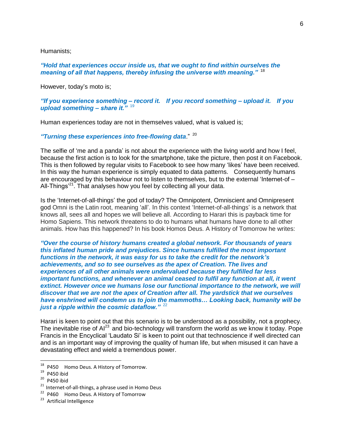Humanists;

*"Hold that experiences occur inside us, that we ought to find within ourselves the meaning of all that happens, thereby infusing the universe with meaning."* <sup>18</sup>

However, today's moto is;

*"If you experience something – record it. If you record something – upload it. If you upload something – share it."* <sup>19</sup>

Human experiences today are not in themselves valued, what is valued is;

*"Turning these experiences into free-flowing data*." <sup>20</sup>

The selfie of 'me and a panda' is not about the experience with the living world and how I feel, because the first action is to look for the smartphone, take the picture, then post it on Facebook. This is then followed by regular visits to Facebook to see how many 'likes' have been received. In this way the human experience is simply equated to data patterns. Consequently humans are encouraged by this behaviour not to listen to themselves, but to the external 'Internet-of – All-Things<sup>'21</sup>. That analyses how you feel by collecting all your data.

Is the 'Internet-of-all-things' the god of today? The Omnipotent, Omniscient and Omnipresent god Omni is the Latin root, meaning 'all'. In this context 'Internet-of-all-things' is a network that knows all, sees all and hopes we will believe all. According to Harari this is payback time for Homo Sapiens. This network threatens to do to humans what humans have done to all other animals. How has this happened? In his book Homos Deus. A History of Tomorrow he writes:

*"Over the course of history humans created a global network. For thousands of years this inflated human pride and prejudices. Since humans fulfilled the most important functions in the network, it was easy for us to take the credit for the network's achievements, and so to see ourselves as the apex of Creation. The lives and experiences of all other animals were undervalued because they fulfilled far less important functions, and whenever an animal ceased to fulfil any function at all, it went extinct. However once we humans lose our functional importance to the network, we will discover that we are not the apex of Creation after all. The yardstick that we ourselves have enshrined will condemn us to join the mammoths… Looking back, humanity will be just a ripple within the cosmic dataflow."* <sup>22</sup>

Harari is keen to point out that this scenario is to be understood as a possibility, not a prophecy. The inevitable rise of  $Al^{23}$  and bio-technology will transform the world as we know it today. Pope Francis in the Encyclical 'Laudato Si' is keen to point out that technoscience if well directed can and is an important way of improving the quality of human life, but when misused it can have a devastating effect and wield a tremendous power.

<sup>&</sup>lt;sup>18</sup> P450 Homo Deus. A History of Tomorrow.

<sup>19</sup> P450 ibid

<sup>20</sup> P450 ibid

<sup>&</sup>lt;sup>21</sup> Internet-of-all-things, a phrase used in Homo Deus

<sup>&</sup>lt;sup>22</sup> P460 Homo Deus. A History of Tomorrow

<sup>&</sup>lt;sup>23</sup> Artificial Intelligence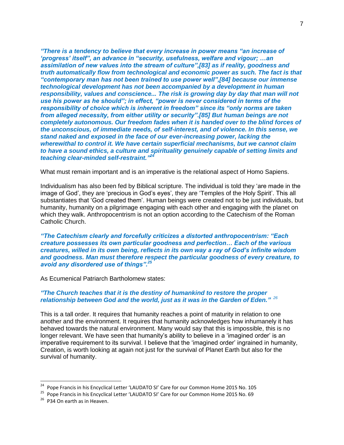*"There is a tendency to believe that every increase in power means "an increase of 'progress' itself", an advance in "security, usefulness, welfare and vigour; …an assimilation of new values into the stream of culture"[,\[83\]](http://w2.vatican.va/content/francesco/en/encyclicals/documents/papa-francesco_20150524_enciclica-laudato-si.html#_ftn83) as if reality, goodness and truth automatically flow from technological and economic power as such. The fact is that "contemporary man has not been trained to use power well"[,\[84\]](http://w2.vatican.va/content/francesco/en/encyclicals/documents/papa-francesco_20150524_enciclica-laudato-si.html#_ftn84) because our immense technological development has not been accompanied by a development in human responsibility, values and conscience... The risk is growing day by day that man will not use his power as he should"; in effect, "power is never considered in terms of the responsibility of choice which is inherent in freedom" since its "only norms are taken from alleged necessity, from either utility or security"[.\[85\]](http://w2.vatican.va/content/francesco/en/encyclicals/documents/papa-francesco_20150524_enciclica-laudato-si.html#_ftn85) But human beings are not completely autonomous. Our freedom fades when it is handed over to the blind forces of the unconscious, of immediate needs, of self-interest, and of violence. In this sense, we stand naked and exposed in the face of our ever-increasing power, lacking the wherewithal to control it. We have certain superficial mechanisms, but we cannot claim to have a sound ethics, a culture and spirituality genuinely capable of setting limits and teaching clear-minded self-restraint." 24*

What must remain important and is an imperative is the relational aspect of Homo Sapiens.

Individualism has also been fed by Biblical scripture. The individual is told they 'are made in the image of God', they are 'precious in God's eyes', they are 'Temples of the Holy Spirit'. This all substantiates that 'God created them'. Human beings were created not to be just individuals, but humanity, humanity on a pilgrimage engaging with each other and engaging with the planet on which they walk. Anthropocentrism is not an option according to the Catechism of the Roman Catholic Church.

*"The Catechism clearly and forcefully criticizes a distorted anthropocentrism: "Each creature possesses its own particular goodness and perfection… Each of the various creatures, willed in its own being, reflects in its own way a ray of God's infinite wisdom and goodness. Man must therefore respect the particular goodness of every creature, to avoid any disordered use of things". 25*

As Ecumenical Patriarch Bartholomew states:

#### *"The Church teaches that it is the destiny of humankind to restore the proper relationship between God and the world, just as it was in the Garden of Eden." 26*

This is a tall order. It requires that humanity reaches a point of maturity in relation to one another and the environment. It requires that humanity acknowledges how inhumanely it has behaved towards the natural environment. Many would say that this is impossible, this is no longer relevant. We have seen that humanity's ability to believe in a 'imagined order' is an imperative requirement to its survival. I believe that the 'imagined order' ingrained in humanity, Creation, is worth looking at again not just for the survival of Planet Earth but also for the survival of humanity.

 $24$  Pope Francis in his Encyclical Letter 'LAUDATO SI' Care for our Common Home 2015 No. 105

<sup>&</sup>lt;sup>25</sup> Pope Francis in his Encyclical Letter 'LAUDATO SI' Care for our Common Home 2015 No. 69

<sup>&</sup>lt;sup>26</sup> P34 On earth as in Heaven.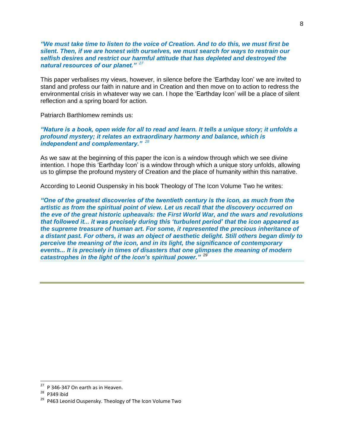*"We must take time to listen to the voice of Creation. And to do this, we must first be silent. Then, if we are honest with ourselves, we must search for ways to restrain our selfish desires and restrict our harmful attitude that has depleted and destroyed the natural resources of our planet." <sup>27</sup>*

This paper verbalises my views, however, in silence before the 'Earthday Icon' we are invited to stand and profess our faith in nature and in Creation and then move on to action to redress the environmental crisis in whatever way we can. I hope the 'Earthday Icon' will be a place of silent reflection and a spring board for action.

Patriarch Barthlomew reminds us:

*"Nature is a book, open wide for all to read and learn. It tells a unique story; it unfolds a profound mystery; it relates an extraordinary harmony and balance, which is independent and complementary." <sup>28</sup>*

As we saw at the beginning of this paper the icon is a window through which we see divine intention. I hope this 'Earthday Icon' is a window through which a unique story unfolds, allowing us to glimpse the profound mystery of Creation and the place of humanity within this narrative.

According to Leonid Ouspensky in his book Theology of The Icon Volume Two he writes:

*"One of the greatest discoveries of the twentieth century is the icon, as much from the artistic as from the spiritual point of view. Let us recall that the discovery occurred on the eve of the great historic upheavals: the First World War, and the wars and revolutions that followed it... it was precisely during this 'turbulent period' that the icon appeared as the supreme treasure of human art. For some, it represented the precious inheritance of a distant past. For others, it was an object of aesthetic delight. Still others began dimly to perceive the meaning of the icon, and in its light, the significance of contemporary events... It is precisely in times of disasters that one glimpses the meaning of modern catastrophes in the light of the icon's spiritual power."* 29

8

 $27$  P 346-347 On earth as in Heaven.

 $28$  P349 ibid

<sup>&</sup>lt;sup>29</sup> P463 Leonid Ouspensky. Theology of The Icon Volume Two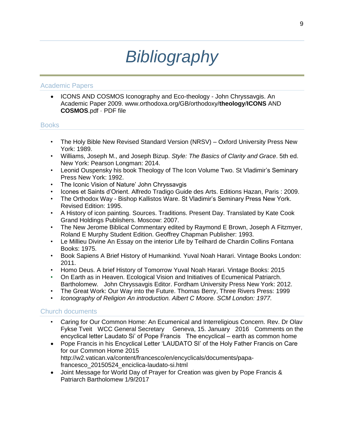# *Bibliography*

## Academic Papers

• ICONS AND COSMOS Iconography and Eco-theology - John Chryssavgis. An Academic Paper 2009. www.orthodoxa.org/GB/orthodoxy/**theology**/**ICONS** AND **COSMOS**.pdf · PDF file

## **Books**

- The Holy Bible New Revised Standard Version (NRSV) Oxford University Press New York: 1989.
- Williams, Joseph M., and Joseph Bizup. *Style: The Basics of Clarity and Grace*. 5th ed. New York: Pearson Longman: 2014.
- Leonid Ouspensky his book Theology of The Icon Volume Two. St Vladimir's Seminary Press New York: 1992.
- The Iconic Vision of Nature' John Chryssavgis
- Icones et Saints d'Orient. Alfredo Tradigo Guide des Arts. Editions Hazan, Paris : 2009.
- The Orthodox Way Bishop Kallistos Ware. St Vladimir's Seminary Press New York. Revised Edition: 1995.
- A History of icon painting. Sources. Traditions. Present Day. Translated by Kate Cook Grand Holdings Publishers. Moscow: 2007.
- The New Jerome Biblical Commentary edited by Raymond E Brown, Joseph A Fitzmyer, Roland E Murphy Student Edition. Geoffrey Chapman Publisher: 1993.
- Le Millieu Divine An Essay on the interior Life by Teilhard de Chardin Collins Fontana Books: 1975.
- Book Sapiens A Brief History of Humankind. Yuval Noah Harari. Vintage Books London: 2011.
- Homo Deus. A brief History of Tomorrow Yuval Noah Harari. Vintage Books: 2015
- On Earth as in Heaven. Ecological Vision and Initiatives of Ecumenical Patriarch. Bartholomew. John Chryssavgis Editor. Fordham University Press New York: 2012.
- The Great Work: Our Way into the Future. Thomas Berry, Three Rivers Press: 1999
- *Iconography of Religion An introduction. Albert C Moore. SCM London: 1977.*

# Church documents

- Caring for Our Common Home: An Ecumenical and Interreligious Concern. Rev. Dr Olav Fykse Tveit WCC General Secretary Geneva, 15. January 2016 Comments on the encyclical letter Laudato Si' of Pope Francis The encyclical – earth as common home
- Pope Francis in his Encyclical Letter 'LAUDATO SI' of the Holy Father Francis on Care for our Common Home 2015 http://w2.vatican.va/content/francesco/en/encyclicals/documents/papafrancesco\_20150524\_enciclica-laudato-si.html
- Joint Message for World Day of Prayer for Creation was given by Pope Francis & Patriarch Bartholomew 1/9/2017